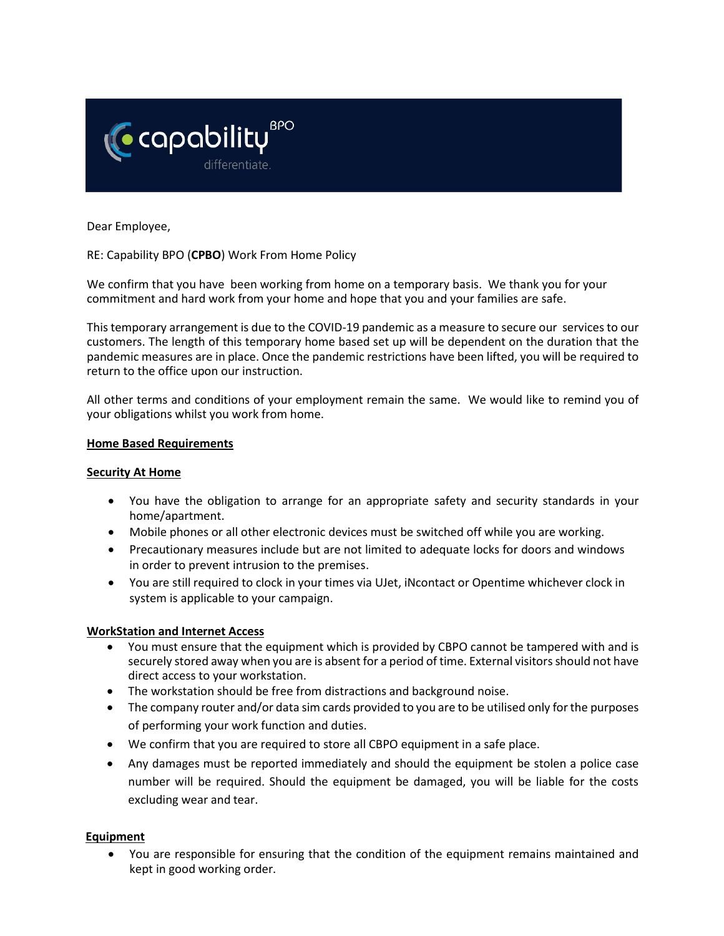

Dear Employee,

RE: Capability BPO (**CPBO**) Work From Home Policy

We confirm that you have been working from home on a temporary basis. We thank you for your commitment and hard work from your home and hope that you and your families are safe.

This temporary arrangement is due to the COVID-19 pandemic as a measure to secure our services to our customers. The length of this temporary home based set up will be dependent on the duration that the pandemic measures are in place. Once the pandemic restrictions have been lifted, you will be required to return to the office upon our instruction.

All other terms and conditions of your employment remain the same. We would like to remind you of your obligations whilst you work from home.

#### **Home Based Requirements**

#### **Security At Home**

- You have the obligation to arrange for an appropriate safety and security standards in your home/apartment.
- Mobile phones or all other electronic devices must be switched off while you are working.
- Precautionary measures include but are not limited to adequate locks for doors and windows in order to prevent intrusion to the premises.
- You are still required to clock in your times via UJet, iNcontact or Opentime whichever clock in system is applicable to your campaign.

### **WorkStation and Internet Access**

- You must ensure that the equipment which is provided by CBPO cannot be tampered with and is securely stored away when you are is absent for a period of time. External visitors should not have direct access to your workstation.
- The workstation should be free from distractions and background noise.
- The company router and/or data sim cards provided to you are to be utilised only for the purposes of performing your work function and duties.
- We confirm that you are required to store all CBPO equipment in a safe place.
- Any damages must be reported immediately and should the equipment be stolen a police case number will be required. Should the equipment be damaged, you will be liable for the costs excluding wear and tear.

### **Equipment**

• You are responsible for ensuring that the condition of the equipment remains maintained and kept in good working order.